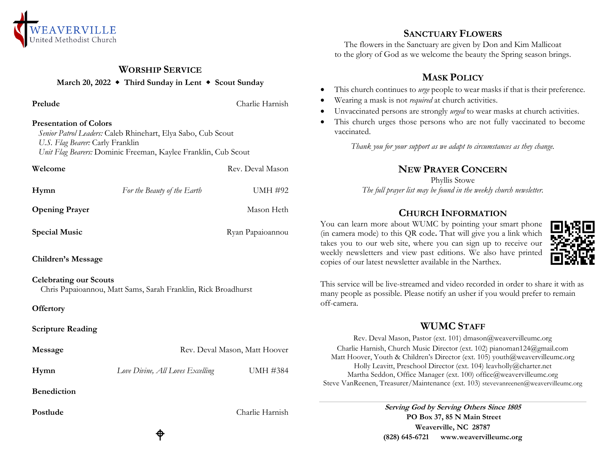

## **WORSHIP SERVICE**

**March 20, 2022 Third Sunday in Lent Scout Sunday**

**Prelude** Charlie Harnish

#### **Presentation of Colors**

 *Senior Patrol Leaders:* Caleb Rhinehart, Elya Sabo, Cub Scout *U.S. Flag Bearer:* Carly Franklin  *Unit Flag Bearers:* Dominic Freeman, Kaylee Franklin, Cub Scout

| Welcome                       |                                                               | Rev. Deval Mason |  |
|-------------------------------|---------------------------------------------------------------|------------------|--|
| Hymn                          | For the Beauty of the Earth                                   | UMH #92          |  |
| <b>Opening Prayer</b>         |                                                               | Mason Heth       |  |
| <b>Special Music</b>          |                                                               | Ryan Papaioannou |  |
| <b>Children's Message</b>     |                                                               |                  |  |
| <b>Celebrating our Scouts</b> | Chris Papaioannou, Matt Sams, Sarah Franklin, Rick Broadhurst |                  |  |
| <b>Offertory</b>              |                                                               |                  |  |
| <b>Scripture Reading</b>      |                                                               |                  |  |
| Message                       | Rev. Deval Mason, Matt Hoover                                 |                  |  |
| Hymn                          | Love Divine, All Loves Excelling                              | <b>UMH #384</b>  |  |
| <b>Benediction</b>            |                                                               |                  |  |
| Postlude                      |                                                               | Charlie Harnish  |  |
|                               |                                                               |                  |  |

♦

## **SANCTUARY FLOWERS**

The flowers in the Sanctuary are given by Don and Kim Mallicoat to the glory of God as we welcome the beauty the Spring season brings.

## **MASK POLICY**

- This church continues to *urge* people to wear masks if that is their preference.
- Wearing a mask is not *required* at church activities.
- Unvaccinated persons are strongly *urged* to wear masks at church activities.
- This church urges those persons who are not fully vaccinated to become vaccinated.

*Thank you for your support as we adapt to circumstances as they change.*

# **NEW PRAYER CONCERN**

Phyllis Stowe *The full prayer list may be found in the weekly church newsletter.*

# **CHURCH INFORMATION**

You can learn more about WUMC by pointing your smart phone (in camera mode) to this QR code**.** That will give you a link which takes you to our web site, where you can sign up to receive our weekly newsletters and view past editions. We also have printed copies of our latest newsletter available in the Narthex.



This service will be live-streamed and video recorded in order to share it with as many people as possible. Please notify an usher if you would prefer to remain off-camera.

## **WUMC STAFF**

Rev. Deval Mason, Pastor (ext. 101) dmason@weavervilleumc.org Charlie Harnish, Church Music Director (ext. 102) pianoman124@gmail.com Matt Hoover, Youth & Children's Director (ext. 105) youth@weavervilleumc.org Holly Leavitt, Preschool Director (ext. 104) leavholly@charter.net Martha Seddon, Office Manager (ext. 100) office@weavervilleumc.org Steve VanReenen, Treasurer/Maintenance (ext. 103) stevevanreenen@weavervilleumc.org

> **Serving God by Serving Others Since 1805 PO Box 37, 85 N Main Street Weaverville, NC 28787 (828) 645-6721 [www.weavervilleumc.org](http://www.weavervilleumc.org/)**